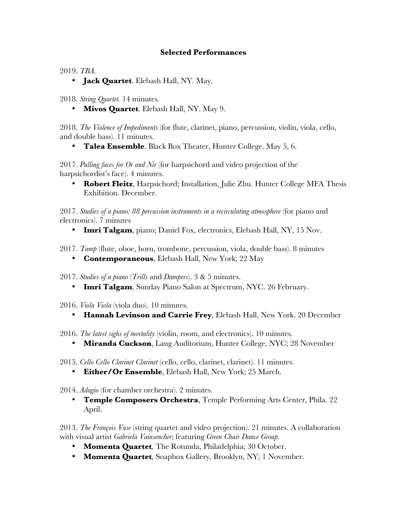## **Selected Performances**

2019. *TBA.* 

• **Jack Quartet**. Elebash Hall, NY. May.

2018. *String Quartet.* 14 minutes.

• **Mivos Quartet**. Elebash Hall, NY. May 9.

2018. *The Violence of Impediments* (for flute, clarinet, piano, percussion, violin, viola, cello, and double bass). 11 minutes.

• **Talea Ensemble**. Black Box Theater, Hunter College. May 5, 6.

2017. *Pulling faces for Or and Nir* (for harpsichord and video projection of the harpsichordist's face). 4 minutes.

• **Robert Fleitz**, Harpsichord; Installation, Julie Zhu. Hunter College MFA Thesis Exhibition. December.

2017. *Studies of a piano: 88 percussion instruments in a recirculating atmosphere* (for piano and electronics). 7 minutes

• **Imri Talgam**, piano; Daniel Fox, electronics, Elebash Hall, NY, 15 Nov.

2017. *Tamp* (flute, oboe, horn, trombone, percussion, viola, double bass). 8 minutes

• **Contemporaneous**, Elebash Hall, New York; 22 May

2017. *Studies of a piano* (*Trills* and *Dampers*). 3 & 5 minutes.

- **Imri Talgam**, Sunday Piano Salon at Spectrum, NYC. 26 February.
- 2016. *Viola Viola* (viola duo). 10 minutes.
	- **Hannah Levinson and Carrie Frey**, Elebash Hall, New York. 20 December
- 2016. *The latest sighs of mortality* (violin, room, and electronics). 10 minutes.
	- **Miranda Cuckson**, Lang Auditorium, Hunter College, NYC; 28 November
- 2015. *Cello Cello Clarinet Clarinet* (cello, cello, clarinet, clarinet). 11 minutes.
	- **Either/Or Ensemble**, Elebash Hall, New York; 25 March.
- 2014. *Adagio* (for chamber orchestra). 2 minutes.
	- **Temple Composers Orchestra**, Temple Performing Arts Center, Phila. 22 April.

2013. *The François Vase* (string quartet and video projection). 21 minutes. A collaboration with visual artist *Gabriela Vainsencher*; featuring *Green Chair Dance Group*.

- **Momenta Quartet***,* The Rotunda, Philadelphia; 30 October.
- **Momenta Quartet***,* Soapbox Gallery*,* Brooklyn, NY; 1 November.